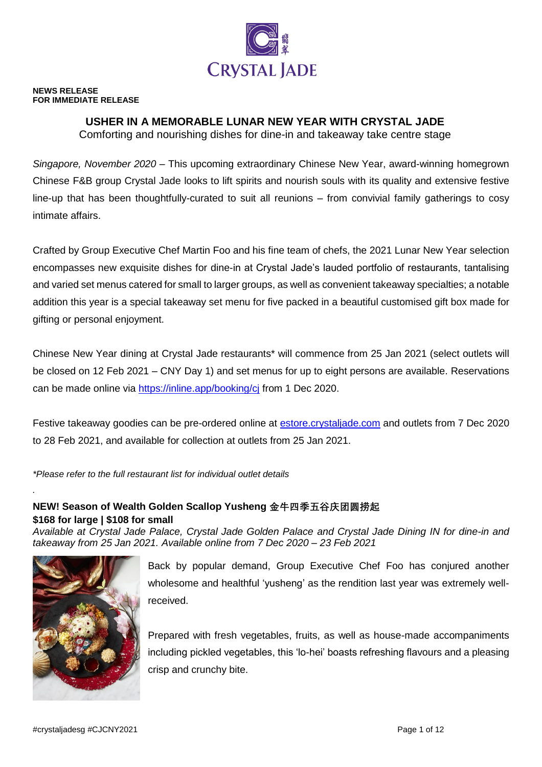

#### **NEWS RELEASE FOR IMMEDIATE RELEASE**

# **USHER IN A MEMORABLE LUNAR NEW YEAR WITH CRYSTAL JADE**

Comforting and nourishing dishes for dine-in and takeaway take centre stage

*Singapore, November 2020* – This upcoming extraordinary Chinese New Year, award-winning homegrown Chinese F&B group Crystal Jade looks to lift spirits and nourish souls with its quality and extensive festive line-up that has been thoughtfully-curated to suit all reunions – from convivial family gatherings to cosy intimate affairs.

Crafted by Group Executive Chef Martin Foo and his fine team of chefs, the 2021 Lunar New Year selection encompasses new exquisite dishes for dine-in at Crystal Jade's lauded portfolio of restaurants, tantalising and varied set menus catered for small to larger groups, as well as convenient takeaway specialties; a notable addition this year is a special takeaway set menu for five packed in a beautiful customised gift box made for gifting or personal enjoyment.

Chinese New Year dining at Crystal Jade restaurants\* will commence from 25 Jan 2021 (select outlets will be closed on 12 Feb 2021 – CNY Day 1) and set menus for up to eight persons are available. Reservations can be made online via<https://inline.app/booking/cj> from 1 Dec 2020.

Festive takeaway goodies can be pre-ordered online at **estore.crystaljade.com** and outlets from 7 Dec 2020 to 28 Feb 2021, and available for collection at outlets from 25 Jan 2021.

*\*Please refer to the full restaurant list for individual outlet details*

# **NEW! Season of Wealth Golden Scallop Yusheng 金牛四季五谷庆团圆捞起 \$168 for large | \$108 for small**

*Available at Crystal Jade Palace, Crystal Jade Golden Palace and Crystal Jade Dining IN for dine-in and takeaway from 25 Jan 2021. Available online from 7 Dec 2020 – 23 Feb 2021*



*.*

Back by popular demand, Group Executive Chef Foo has conjured another wholesome and healthful 'yusheng' as the rendition last year was extremely wellreceived.

Prepared with fresh vegetables, fruits, as well as house-made accompaniments including pickled vegetables, this 'lo-hei' boasts refreshing flavours and a pleasing crisp and crunchy bite.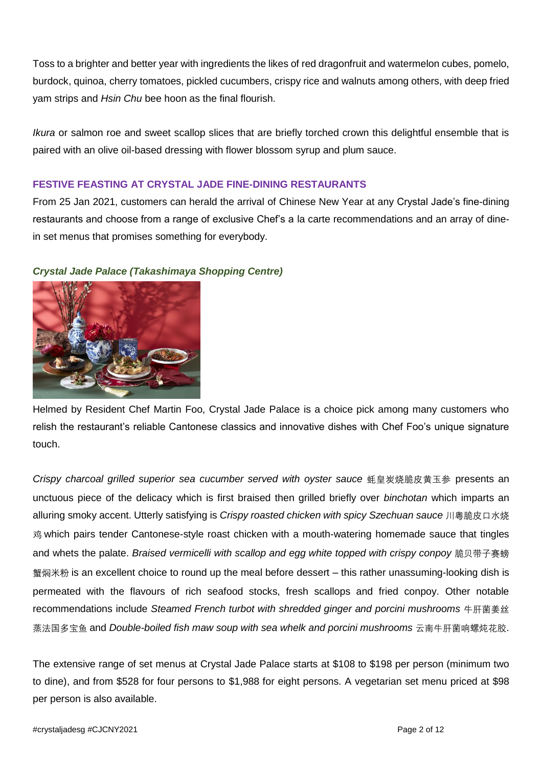Toss to a brighter and better year with ingredients the likes of red dragonfruit and watermelon cubes, pomelo, burdock, quinoa, cherry tomatoes, pickled cucumbers, crispy rice and walnuts among others, with deep fried yam strips and *Hsin Chu* bee hoon as the final flourish.

*Ikura* or salmon roe and sweet scallop slices that are briefly torched crown this delightful ensemble that is paired with an olive oil-based dressing with flower blossom syrup and plum sauce.

# **FESTIVE FEASTING AT CRYSTAL JADE FINE-DINING RESTAURANTS**

From 25 Jan 2021, customers can herald the arrival of Chinese New Year at any Crystal Jade's fine-dining restaurants and choose from a range of exclusive Chef's a la carte recommendations and an array of dinein set menus that promises something for everybody.



### *Crystal Jade Palace (Takashimaya Shopping Centre)*

Helmed by Resident Chef Martin Foo, Crystal Jade Palace is a choice pick among many customers who relish the restaurant's reliable Cantonese classics and innovative dishes with Chef Foo's unique signature touch.

*Crispy charcoal grilled superior sea cucumber served with oyster sauce* 蚝皇炭烧脆皮黄玉参 presents an unctuous piece of the delicacy which is first braised then grilled briefly over *binchotan* which imparts an alluring smoky accent. Utterly satisfying is *Crispy roasted chicken with spicy Szechuan sauce* 川粤脆皮口水烧 鸡 which pairs tender Cantonese-style roast chicken with a mouth-watering homemade sauce that tingles and whets the palate. *Braised vermicelli with scallop and egg white topped with crispy conpoy* 脆贝带子赛螃 蟹焖米粉 is an excellent choice to round up the meal before dessert – this rather unassuming-looking dish is permeated with the flavours of rich seafood stocks, fresh scallops and fried conpoy. Other notable recommendations include *Steamed French turbot with shredded ginger and porcini mushrooms* 牛肝菌姜丝 蒸法国多宝鱼 and *Double-boiled fish maw soup with sea whelk and porcini mushrooms* 云南牛肝菌响螺炖花胶.

The extensive range of set menus at Crystal Jade Palace starts at \$108 to \$198 per person (minimum two to dine), and from \$528 for four persons to \$1,988 for eight persons. A vegetarian set menu priced at \$98 per person is also available.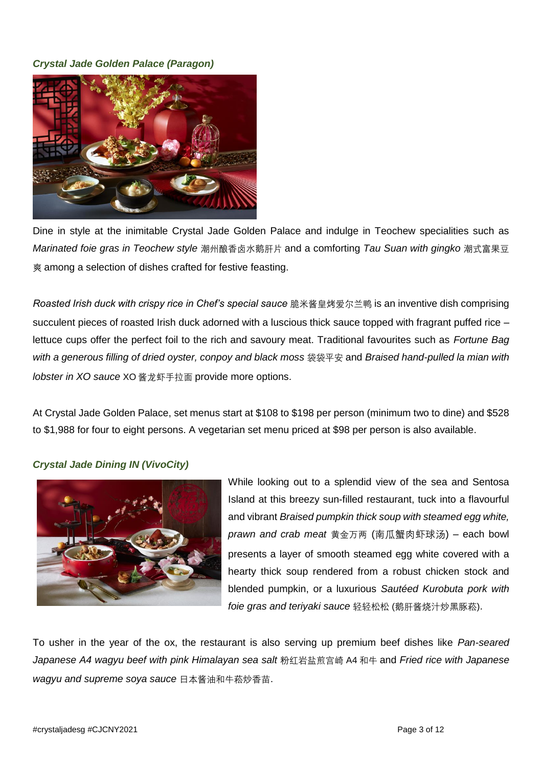## *Crystal Jade Golden Palace (Paragon)*



Dine in style at the inimitable Crystal Jade Golden Palace and indulge in Teochew specialities such as *Marinated foie gras in Teochew style* 潮州酿香卤水鹅肝片 and a comforting *Tau Suan with gingko* 潮式富果豆 爽 among a selection of dishes crafted for festive feasting.

*Roasted Irish duck with crispy rice in Chef's special sauce* 脆米酱皇烤爱尔兰鸭 is an inventive dish comprising succulent pieces of roasted Irish duck adorned with a luscious thick sauce topped with fragrant puffed rice lettuce cups offer the perfect foil to the rich and savoury meat. Traditional favourites such as *Fortune Bag with a generous filling of dried oyster, conpoy and black moss* 袋袋平安 and *Braised hand-pulled la mian with lobster in XO sauce* XO 酱龙虾手拉面 provide more options.

At Crystal Jade Golden Palace, set menus start at \$108 to \$198 per person (minimum two to dine) and \$528 to \$1,988 for four to eight persons. A vegetarian set menu priced at \$98 per person is also available.

### *Crystal Jade Dining IN (VivoCity)*



While looking out to a splendid view of the sea and Sentosa Island at this breezy sun-filled restaurant, tuck into a flavourful and vibrant *Braised pumpkin thick soup with steamed egg white, prawn and crab meat* 黄金万两 (南瓜蟹肉虾球汤) – each bowl presents a layer of smooth steamed egg white covered with a hearty thick soup rendered from a robust chicken stock and blended pumpkin, or a luxurious *Sautéed Kurobuta pork with foie gras and teriyaki sauce* 轻轻松松 (鹅肝酱烧汁炒黑豚菘).

To usher in the year of the ox, the restaurant is also serving up premium beef dishes like *Pan-seared Japanese A4 wagyu beef with pink Himalayan sea salt* 粉红岩盐煎宫崎 A4 和牛 and *Fried rice with Japanese wagyu and supreme soya sauce* 日本酱油和牛菘炒香苗.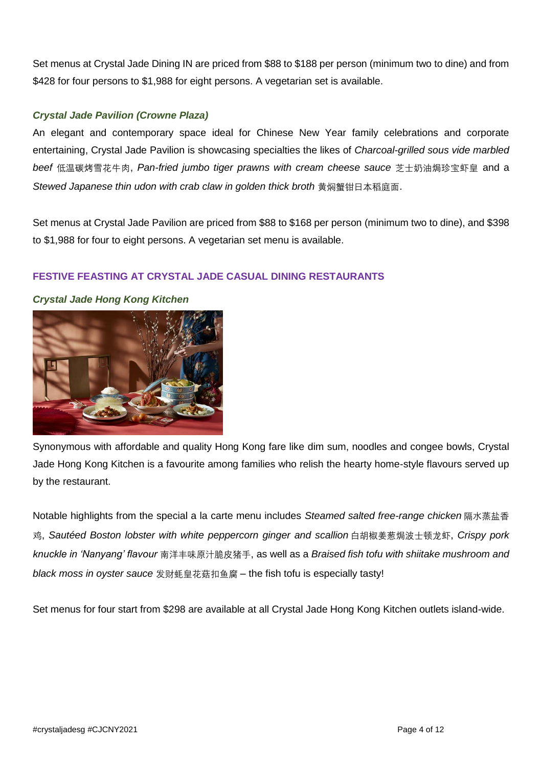Set menus at Crystal Jade Dining IN are priced from \$88 to \$188 per person (minimum two to dine) and from \$428 for four persons to \$1,988 for eight persons. A vegetarian set is available.

# *Crystal Jade Pavilion (Crowne Plaza)*

An elegant and contemporary space ideal for Chinese New Year family celebrations and corporate entertaining, Crystal Jade Pavilion is showcasing specialties the likes of *Charcoal-grilled sous vide marbled beef* 低温碳烤雪花牛肉, *Pan-fried jumbo tiger prawns with cream cheese sauce* 芝士奶油焗珍宝虾皇 and a *Stewed Japanese thin udon with crab claw in golden thick broth* 黄焖蟹钳日本稻庭面.

Set menus at Crystal Jade Pavilion are priced from \$88 to \$168 per person (minimum two to dine), and \$398 to \$1,988 for four to eight persons. A vegetarian set menu is available.

# **FESTIVE FEASTING AT CRYSTAL JADE CASUAL DINING RESTAURANTS**



#### *Crystal Jade Hong Kong Kitchen*

Synonymous with affordable and quality Hong Kong fare like dim sum, noodles and congee bowls, Crystal Jade Hong Kong Kitchen is a favourite among families who relish the hearty home-style flavours served up by the restaurant.

Notable highlights from the special a la carte menu includes *Steamed salted free-range chicken* 隔水蒸盐香 鸡, *Sautéed Boston lobster with white peppercorn ginger and scallion* 白胡椒姜葱焗波士顿龙虾, *Crispy pork knuckle in 'Nanyang' flavour* 南洋丰味原汁脆皮猪手, as well as a *Braised fish tofu with shiitake mushroom and black moss in oyster sauce* 发财蚝皇花菇扣鱼腐 – the fish tofu is especially tasty!

Set menus for four start from \$298 are available at all Crystal Jade Hong Kong Kitchen outlets island-wide.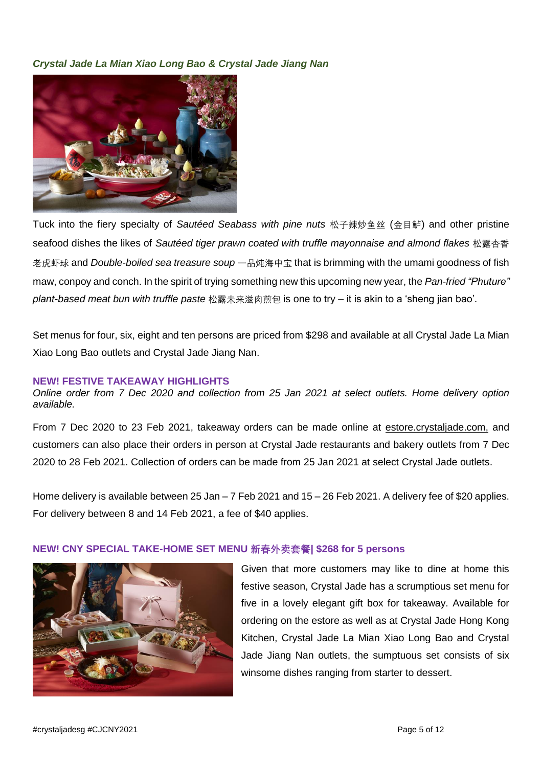*Crystal Jade La Mian Xiao Long Bao & Crystal Jade Jiang Nan*



Tuck into the fiery specialty of *Sautéed Seabass with pine nuts* 松子辣炒鱼丝 (金目鲈) and other pristine seafood dishes the likes of *Sautéed tiger prawn coated with truffle mayonnaise and almond flakes* 松露杏香 老虎虾球 and *Double-boiled sea treasure soup* 一品炖海中宝 that is brimming with the umami goodness of fish maw, conpoy and conch. In the spirit of trying something new this upcoming new year, the *Pan-fried "Phuture" plant-based meat bun with truffle paste* 松露未来滋肉煎包 is one to try – it is akin to a 'sheng jian bao'.

Set menus for four, six, eight and ten persons are priced from \$298 and available at all Crystal Jade La Mian Xiao Long Bao outlets and Crystal Jade Jiang Nan.

#### **NEW! FESTIVE TAKEAWAY HIGHLIGHTS**

*Online order from 7 Dec 2020 and collection from 25 Jan 2021 at select outlets. Home delivery option available.*

From 7 Dec 2020 to 23 Feb 2021, takeaway orders can be made online at estore.crystaljade.com, and customers can also place their orders in person at Crystal Jade restaurants and bakery outlets from 7 Dec 2020 to 28 Feb 2021. Collection of orders can be made from 25 Jan 2021 at select Crystal Jade outlets.

Home delivery is available between 25 Jan – 7 Feb 2021 and 15 – 26 Feb 2021. A delivery fee of \$20 applies. For delivery between 8 and 14 Feb 2021, a fee of \$40 applies.



### **NEW! CNY SPECIAL TAKE-HOME SET MENU 新春外卖套餐| \$268 for 5 persons**

Given that more customers may like to dine at home this festive season, Crystal Jade has a scrumptious set menu for five in a lovely elegant gift box for takeaway. Available for ordering on the estore as well as at Crystal Jade Hong Kong Kitchen, Crystal Jade La Mian Xiao Long Bao and Crystal Jade Jiang Nan outlets, the sumptuous set consists of six winsome dishes ranging from starter to dessert.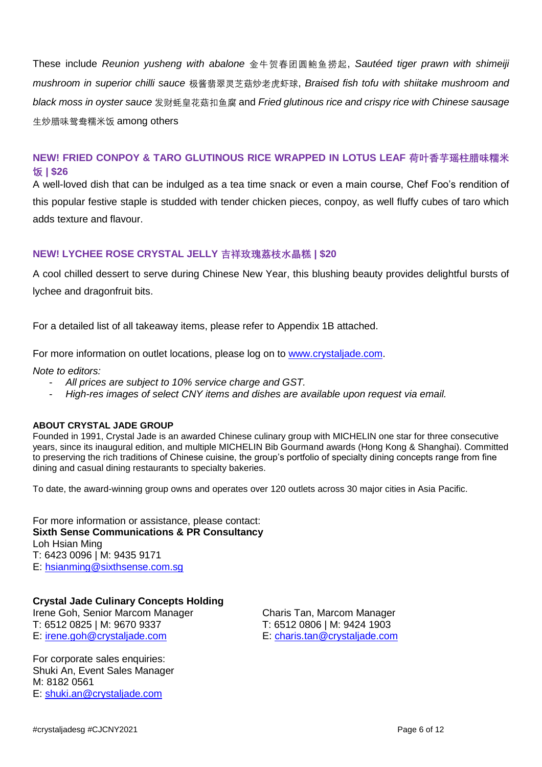These include *Reunion yusheng with abalone* 金牛贺春团圆鲍鱼捞起, *Sautéed tiger prawn with shimeiji mushroom in superior chilli sauce* 极酱翡翠灵芝菇炒老虎虾球, *Braised fish tofu with shiitake mushroom and black moss in oyster sauce* 发财蚝皇花菇扣鱼腐 and *Fried glutinous rice and crispy rice with Chinese sausage* 生炒腊味鸳鸯糯米饭 among others

# **NEW! FRIED CONPOY & TARO GLUTINOUS RICE WRAPPED IN LOTUS LEAF 荷叶香芋瑶柱腊味糯米 饭 | \$26**

A well-loved dish that can be indulged as a tea time snack or even a main course, Chef Foo's rendition of this popular festive staple is studded with tender chicken pieces, conpoy, as well fluffy cubes of taro which adds texture and flavour.

### **NEW! LYCHEE ROSE CRYSTAL JELLY 吉祥玫瑰荔枝水晶糕 | \$20**

A cool chilled dessert to serve during Chinese New Year, this blushing beauty provides delightful bursts of lychee and dragonfruit bits.

For a detailed list of all takeaway items, please refer to Appendix 1B attached.

For more information on outlet locations, please log on to [www.crystaljade.com.](http://www.crystaljade.com/)

*Note to editors:* 

- *All prices are subject to 10% service charge and GST.*
- *High-res images of select CNY items and dishes are available upon request via email.*

#### **ABOUT CRYSTAL JADE GROUP**

Founded in 1991, Crystal Jade is an awarded Chinese culinary group with MICHELIN one star for three consecutive years, since its inaugural edition, and multiple MICHELIN Bib Gourmand awards (Hong Kong & Shanghai). Committed to preserving the rich traditions of Chinese cuisine, the group's portfolio of specialty dining concepts range from fine dining and casual dining restaurants to specialty bakeries.

To date, the award-winning group owns and operates over 120 outlets across 30 major cities in Asia Pacific.

For more information or assistance, please contact: **Sixth Sense Communications & PR Consultancy** Loh Hsian Ming T: 6423 0096 | M: 9435 9171 E: [hsianming@sixthsense.com.sg](mailto:hsianming@sixthsense.com.sg)

### **Crystal Jade Culinary Concepts Holding**

Irene Goh, Senior Marcom Manager Charis Tan, Marcom Manager T: 6512 0825 | M: 9670 9337 T: 6512 0806 | M: 9424 1903 E: [irene.goh@crystaljade.com](mailto:irene.goh@crystaljade.com) E: [charis.tan@crystaljade.com](mailto:charis.tan@crystaljade.com)

For corporate sales enquiries: Shuki An, Event Sales Manager M: 8182 0561 E: [shuki.an@crystaljade.com](mailto:shuki.an@crystaljade.com)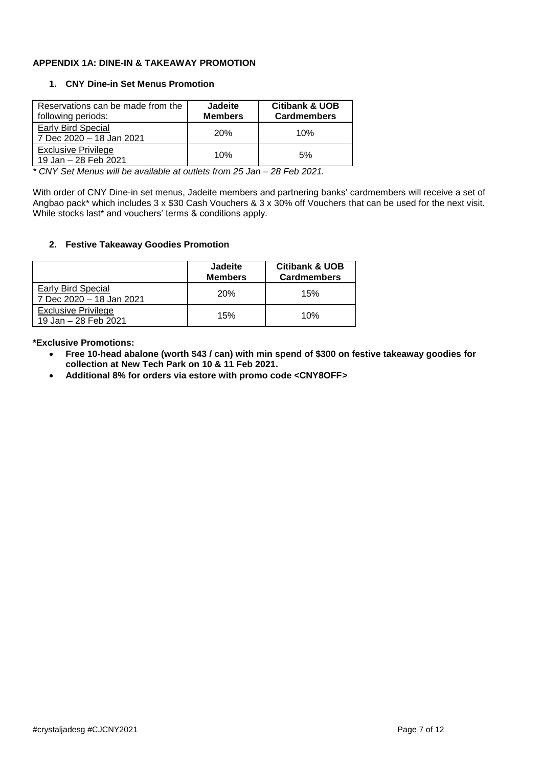#### **APPENDIX 1A: DINE-IN & TAKEAWAY PROMOTION**

#### **1. CNY Dine-in Set Menus Promotion**

| Reservations can be made from the<br>following periods: | <b>Jadeite</b><br><b>Members</b> | <b>Citibank &amp; UOB</b><br><b>Cardmembers</b> |
|---------------------------------------------------------|----------------------------------|-------------------------------------------------|
| <b>Early Bird Special</b><br>7 Dec 2020 - 18 Jan 2021   | <b>20%</b>                       | 10%                                             |
| <b>Exclusive Privilege</b><br>19 Jan - 28 Feb 2021      | 10%                              | 5%                                              |

*\* CNY Set Menus will be available at outlets from 25 Jan – 28 Feb 2021.* 

With order of CNY Dine-in set menus, Jadeite members and partnering banks' cardmembers will receive a set of Angbao pack\* which includes 3 x \$30 Cash Vouchers & 3 x 30% off Vouchers that can be used for the next visit. While stocks last\* and vouchers' terms & conditions apply.

#### **2. Festive Takeaway Goodies Promotion**

|                                                    | <b>Jadeite</b><br><b>Members</b> | <b>Citibank &amp; UOB</b><br><b>Cardmembers</b> |
|----------------------------------------------------|----------------------------------|-------------------------------------------------|
| Early Bird Special<br>7 Dec 2020 - 18 Jan 2021     | <b>20%</b>                       | 15%                                             |
| <b>Exclusive Privilege</b><br>19 Jan - 28 Feb 2021 | 15%                              | 10%                                             |

**\*Exclusive Promotions:** 

- **Free 10-head abalone (worth \$43 / can) with min spend of \$300 on festive takeaway goodies for collection at New Tech Park on 10 & 11 Feb 2021.**
- **Additional 8% for orders via estore with promo code <CNY8OFF>**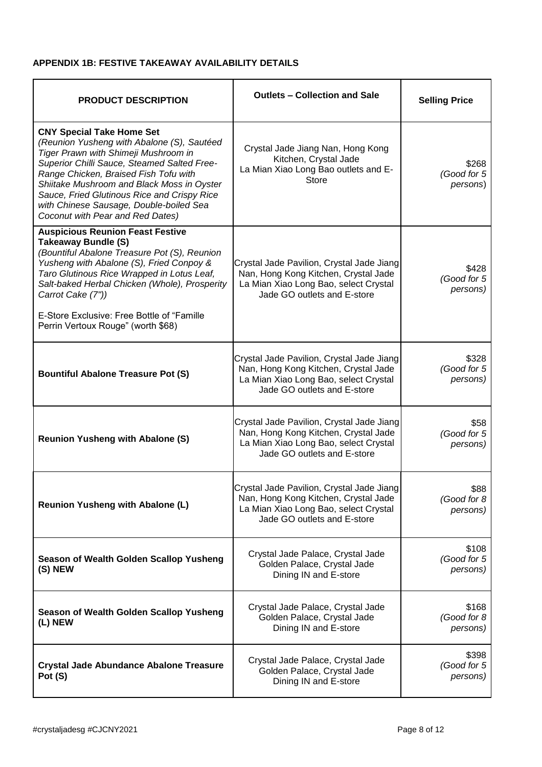### **APPENDIX 1B: FESTIVE TAKEAWAY AVAILABILITY DETAILS**

| <b>PRODUCT DESCRIPTION</b>                                                                                                                                                                                                                                                                                                                                                                 | <b>Outlets - Collection and Sale</b>                                                                                                                      | <b>Selling Price</b>             |
|--------------------------------------------------------------------------------------------------------------------------------------------------------------------------------------------------------------------------------------------------------------------------------------------------------------------------------------------------------------------------------------------|-----------------------------------------------------------------------------------------------------------------------------------------------------------|----------------------------------|
| <b>CNY Special Take Home Set</b><br>(Reunion Yusheng with Abalone (S), Sautéed<br>Tiger Prawn with Shimeji Mushroom in<br>Superior Chilli Sauce, Steamed Salted Free-<br>Range Chicken, Braised Fish Tofu with<br>Shiitake Mushroom and Black Moss in Oyster<br>Sauce, Fried Glutinous Rice and Crispy Rice<br>with Chinese Sausage, Double-boiled Sea<br>Coconut with Pear and Red Dates) | Crystal Jade Jiang Nan, Hong Kong<br>Kitchen, Crystal Jade<br>La Mian Xiao Long Bao outlets and E-<br><b>Store</b>                                        | \$268<br>(Good for 5<br>persons) |
| <b>Auspicious Reunion Feast Festive</b><br><b>Takeaway Bundle (S)</b><br>(Bountiful Abalone Treasure Pot (S), Reunion<br>Yusheng with Abalone (S), Fried Conpoy &<br>Taro Glutinous Rice Wrapped in Lotus Leaf,<br>Salt-baked Herbal Chicken (Whole), Prosperity<br>Carrot Cake (7"))<br>E-Store Exclusive: Free Bottle of "Famille"<br>Perrin Vertoux Rouge" (worth \$68)                 | Crystal Jade Pavilion, Crystal Jade Jiang<br>Nan, Hong Kong Kitchen, Crystal Jade<br>La Mian Xiao Long Bao, select Crystal<br>Jade GO outlets and E-store | \$428<br>(Good for 5<br>persons) |
| <b>Bountiful Abalone Treasure Pot (S)</b>                                                                                                                                                                                                                                                                                                                                                  | Crystal Jade Pavilion, Crystal Jade Jiang<br>Nan, Hong Kong Kitchen, Crystal Jade<br>La Mian Xiao Long Bao, select Crystal<br>Jade GO outlets and E-store | \$328<br>(Good for 5<br>persons) |
| <b>Reunion Yusheng with Abalone (S)</b>                                                                                                                                                                                                                                                                                                                                                    | Crystal Jade Pavilion, Crystal Jade Jiang<br>Nan, Hong Kong Kitchen, Crystal Jade<br>La Mian Xiao Long Bao, select Crystal<br>Jade GO outlets and E-store | \$58<br>(Good for 5<br>persons)  |
| <b>Reunion Yusheng with Abalone (L)</b>                                                                                                                                                                                                                                                                                                                                                    | Crystal Jade Pavilion, Crystal Jade Jiang<br>Nan, Hong Kong Kitchen, Crystal Jade<br>La Mian Xiao Long Bao, select Crystal<br>Jade GO outlets and E-store | \$88<br>(Good for 8<br>persons)  |
| Season of Wealth Golden Scallop Yusheng<br>(S) NEW                                                                                                                                                                                                                                                                                                                                         | Crystal Jade Palace, Crystal Jade<br>Golden Palace, Crystal Jade<br>Dining IN and E-store                                                                 | \$108<br>(Good for 5<br>persons) |
| Season of Wealth Golden Scallop Yusheng<br>(L) NEW                                                                                                                                                                                                                                                                                                                                         | Crystal Jade Palace, Crystal Jade<br>Golden Palace, Crystal Jade<br>Dining IN and E-store                                                                 | \$168<br>(Good for 8<br>persons) |
| <b>Crystal Jade Abundance Abalone Treasure</b><br>Pot (S)                                                                                                                                                                                                                                                                                                                                  | Crystal Jade Palace, Crystal Jade<br>Golden Palace, Crystal Jade<br>Dining IN and E-store                                                                 | \$398<br>(Good for 5<br>persons) |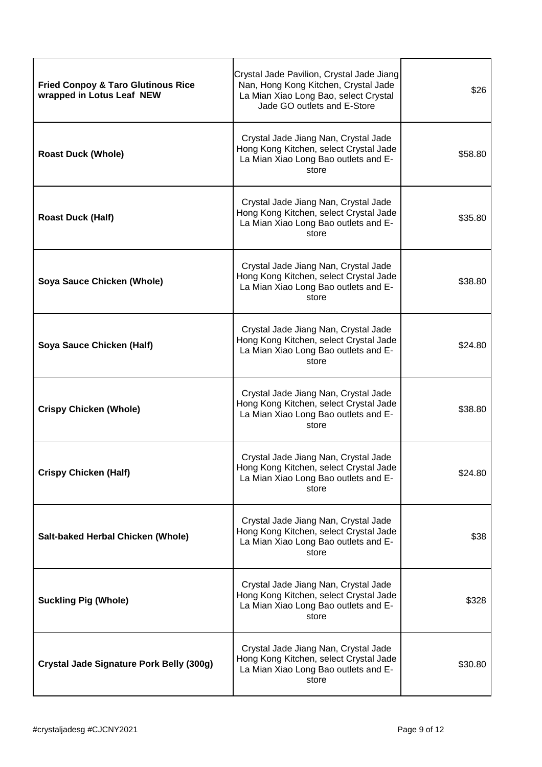| <b>Fried Conpoy &amp; Taro Glutinous Rice</b><br>wrapped in Lotus Leaf NEW | Crystal Jade Pavilion, Crystal Jade Jiang<br>Nan, Hong Kong Kitchen, Crystal Jade<br>La Mian Xiao Long Bao, select Crystal<br>Jade GO outlets and E-Store | \$26    |
|----------------------------------------------------------------------------|-----------------------------------------------------------------------------------------------------------------------------------------------------------|---------|
| <b>Roast Duck (Whole)</b>                                                  | Crystal Jade Jiang Nan, Crystal Jade<br>Hong Kong Kitchen, select Crystal Jade<br>La Mian Xiao Long Bao outlets and E-<br>store                           | \$58.80 |
| <b>Roast Duck (Half)</b>                                                   | Crystal Jade Jiang Nan, Crystal Jade<br>Hong Kong Kitchen, select Crystal Jade<br>La Mian Xiao Long Bao outlets and E-<br>store                           | \$35.80 |
| Soya Sauce Chicken (Whole)                                                 | Crystal Jade Jiang Nan, Crystal Jade<br>Hong Kong Kitchen, select Crystal Jade<br>La Mian Xiao Long Bao outlets and E-<br>store                           | \$38.80 |
| Soya Sauce Chicken (Half)                                                  | Crystal Jade Jiang Nan, Crystal Jade<br>Hong Kong Kitchen, select Crystal Jade<br>La Mian Xiao Long Bao outlets and E-<br>store                           | \$24.80 |
| <b>Crispy Chicken (Whole)</b>                                              | Crystal Jade Jiang Nan, Crystal Jade<br>Hong Kong Kitchen, select Crystal Jade<br>La Mian Xiao Long Bao outlets and E-<br>store                           | \$38.80 |
| <b>Crispy Chicken (Half)</b>                                               | Crystal Jade Jiang Nan, Crystal Jade<br>Hong Kong Kitchen, select Crystal Jade<br>La Mian Xiao Long Bao outlets and E-<br>store                           | \$24.80 |
| Salt-baked Herbal Chicken (Whole)                                          | Crystal Jade Jiang Nan, Crystal Jade<br>Hong Kong Kitchen, select Crystal Jade<br>La Mian Xiao Long Bao outlets and E-<br>store                           | \$38    |
| <b>Suckling Pig (Whole)</b>                                                | Crystal Jade Jiang Nan, Crystal Jade<br>Hong Kong Kitchen, select Crystal Jade<br>La Mian Xiao Long Bao outlets and E-<br>store                           | \$328   |
| Crystal Jade Signature Pork Belly (300g)                                   | Crystal Jade Jiang Nan, Crystal Jade<br>Hong Kong Kitchen, select Crystal Jade<br>La Mian Xiao Long Bao outlets and E-<br>store                           | \$30.80 |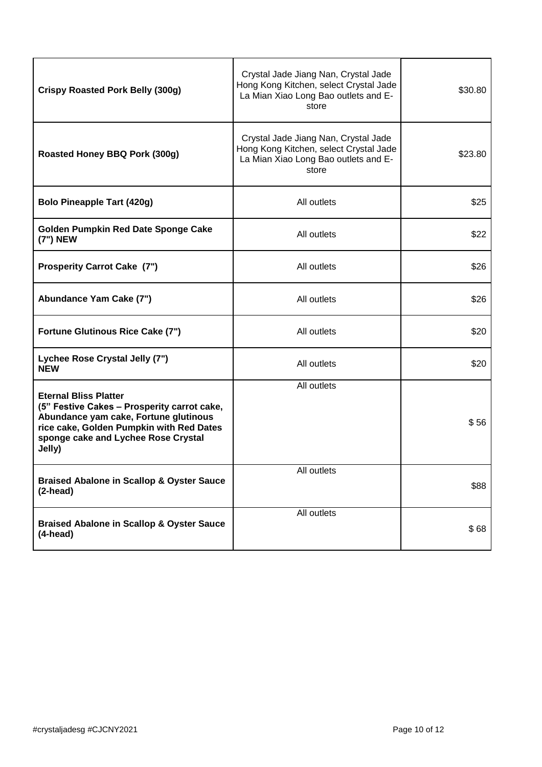| <b>Crispy Roasted Pork Belly (300g)</b>                                                                                                                                                                           | Crystal Jade Jiang Nan, Crystal Jade<br>Hong Kong Kitchen, select Crystal Jade<br>La Mian Xiao Long Bao outlets and E-<br>store | \$30.80 |
|-------------------------------------------------------------------------------------------------------------------------------------------------------------------------------------------------------------------|---------------------------------------------------------------------------------------------------------------------------------|---------|
| Roasted Honey BBQ Pork (300g)                                                                                                                                                                                     | Crystal Jade Jiang Nan, Crystal Jade<br>Hong Kong Kitchen, select Crystal Jade<br>La Mian Xiao Long Bao outlets and E-<br>store | \$23.80 |
| <b>Bolo Pineapple Tart (420g)</b>                                                                                                                                                                                 | All outlets                                                                                                                     | \$25    |
| Golden Pumpkin Red Date Sponge Cake<br>(7") NEW                                                                                                                                                                   | All outlets                                                                                                                     | \$22    |
| <b>Prosperity Carrot Cake (7")</b>                                                                                                                                                                                | All outlets                                                                                                                     | \$26    |
| Abundance Yam Cake (7")                                                                                                                                                                                           | All outlets                                                                                                                     | \$26    |
| <b>Fortune Glutinous Rice Cake (7")</b>                                                                                                                                                                           | All outlets                                                                                                                     | \$20    |
| Lychee Rose Crystal Jelly (7")<br>NEW                                                                                                                                                                             | All outlets                                                                                                                     | \$20    |
| <b>Eternal Bliss Platter</b><br>(5" Festive Cakes - Prosperity carrot cake,<br>Abundance yam cake, Fortune glutinous<br>rice cake, Golden Pumpkin with Red Dates<br>sponge cake and Lychee Rose Crystal<br>Jelly) | All outlets                                                                                                                     | \$56    |
| <b>Braised Abalone in Scallop &amp; Oyster Sauce</b><br>$(2$ -head)                                                                                                                                               | All outlets                                                                                                                     | \$88    |
| <b>Braised Abalone in Scallop &amp; Oyster Sauce</b><br>$(4$ -head)                                                                                                                                               | All outlets                                                                                                                     | \$68    |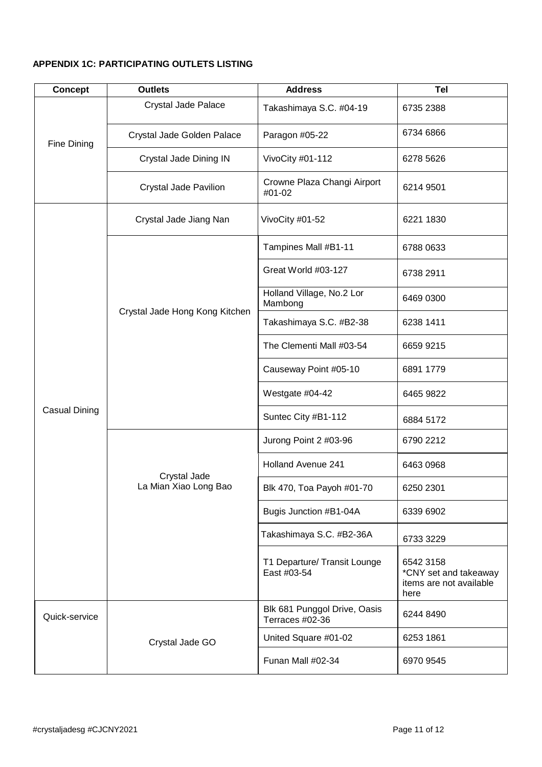### **APPENDIX 1C: PARTICIPATING OUTLETS LISTING**

| <b>Concept</b> | <b>Outlets</b>                        | <b>Address</b>                                  | <b>Tel</b>                                                            |
|----------------|---------------------------------------|-------------------------------------------------|-----------------------------------------------------------------------|
| Fine Dining    | <b>Crystal Jade Palace</b>            | Takashimaya S.C. #04-19                         | 6735 2388                                                             |
|                | Crystal Jade Golden Palace            | Paragon #05-22                                  | 6734 6866                                                             |
|                | Crystal Jade Dining IN                | VivoCity #01-112                                | 6278 5626                                                             |
|                | <b>Crystal Jade Pavilion</b>          | Crowne Plaza Changi Airport<br>#01-02           | 6214 9501                                                             |
|                | Crystal Jade Jiang Nan                | VivoCity #01-52                                 | 6221 1830                                                             |
|                |                                       | Tampines Mall #B1-11                            | 6788 0633                                                             |
|                |                                       | Great World #03-127                             | 6738 2911                                                             |
|                | Crystal Jade Hong Kong Kitchen        | Holland Village, No.2 Lor<br>Mambong            | 6469 0300                                                             |
|                |                                       | Takashimaya S.C. #B2-38                         | 6238 1411                                                             |
|                |                                       | The Clementi Mall #03-54                        | 6659 9215                                                             |
|                |                                       | Causeway Point #05-10                           | 6891 1779                                                             |
|                |                                       | Westgate #04-42                                 | 6465 9822                                                             |
| Casual Dining  |                                       | Suntec City #B1-112                             | 6884 5172                                                             |
|                | Crystal Jade<br>La Mian Xiao Long Bao | Jurong Point 2 #03-96                           | 6790 2212                                                             |
|                |                                       | <b>Holland Avenue 241</b>                       | 6463 0968                                                             |
|                |                                       | Blk 470, Toa Payoh #01-70                       | 6250 2301                                                             |
|                |                                       | Bugis Junction #B1-04A                          | 6339 6902                                                             |
|                |                                       | Takashimaya S.C. #B2-36A                        | 6733 3229                                                             |
|                |                                       | T1 Departure/ Transit Lounge<br>East #03-54     | 6542 3158<br>*CNY set and takeaway<br>items are not available<br>here |
| Quick-service  | Crystal Jade GO                       | Blk 681 Punggol Drive, Oasis<br>Terraces #02-36 | 6244 8490                                                             |
|                |                                       | United Square #01-02                            | 6253 1861                                                             |
|                |                                       | Funan Mall #02-34                               | 6970 9545                                                             |